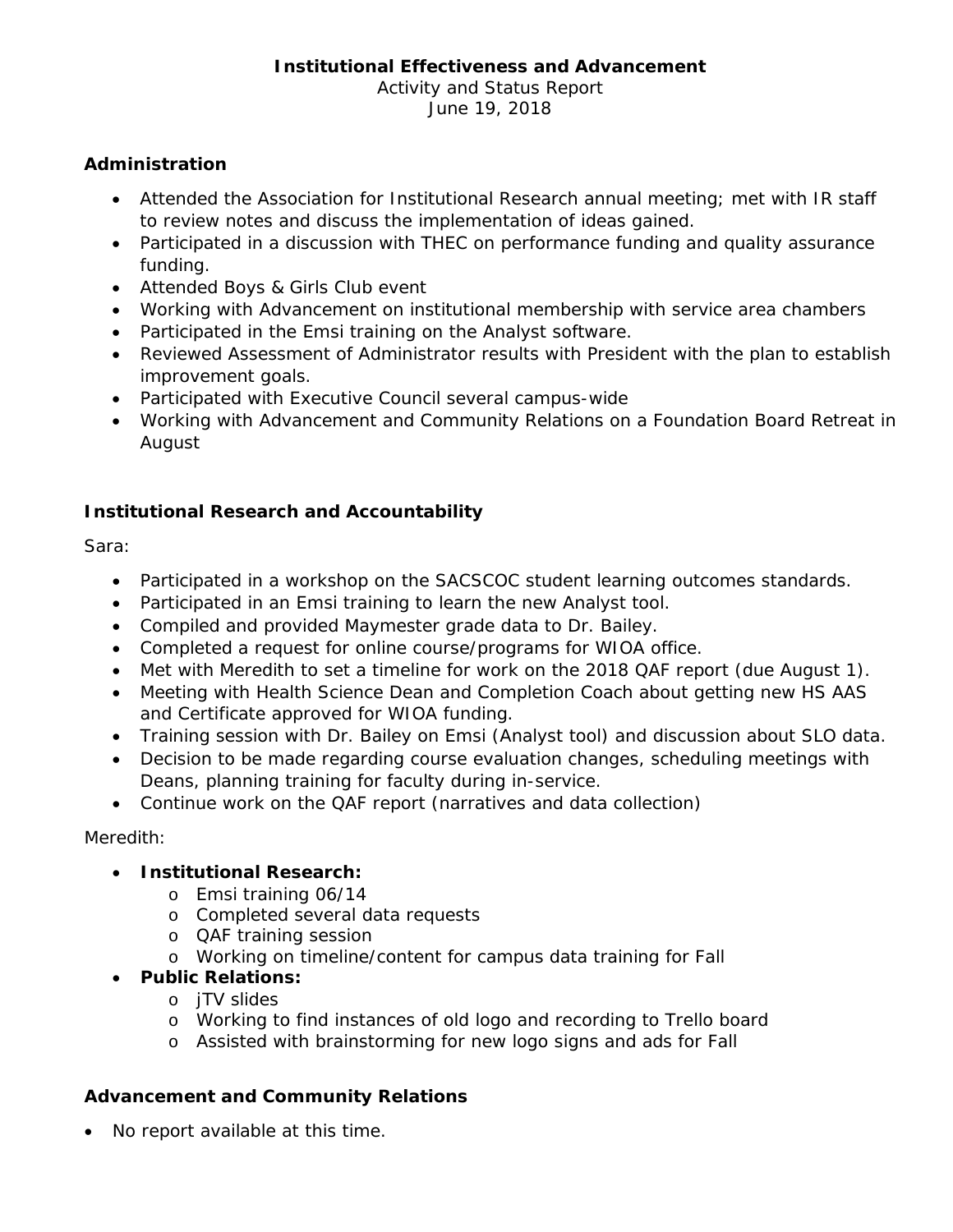# **Institutional Effectiveness and Advancement**

Activity and Status Report June 19, 2018

#### **Administration**

- Attended the Association for Institutional Research annual meeting; met with IR staff to review notes and discuss the implementation of ideas gained.
- Participated in a discussion with THEC on performance funding and quality assurance funding.
- Attended Boys & Girls Club event
- Working with Advancement on institutional membership with service area chambers
- Participated in the Emsi training on the Analyst software.
- Reviewed Assessment of Administrator results with President with the plan to establish improvement goals.
- Participated with Executive Council several campus-wide
- Working with Advancement and Community Relations on a Foundation Board Retreat in August

## **Institutional Research and Accountability**

Sara:

- Participated in a workshop on the SACSCOC student learning outcomes standards.
- Participated in an Emsi training to learn the new Analyst tool.
- Compiled and provided Maymester grade data to Dr. Bailey.
- Completed a request for online course/programs for WIOA office.
- Met with Meredith to set a timeline for work on the 2018 QAF report (due August 1).
- Meeting with Health Science Dean and Completion Coach about getting new HS AAS and Certificate approved for WIOA funding.
- Training session with Dr. Bailey on Emsi (Analyst tool) and discussion about SLO data.
- Decision to be made regarding course evaluation changes, scheduling meetings with Deans, planning training for faculty during in-service.
- Continue work on the QAF report (narratives and data collection)

Meredith:

#### • **Institutional Research:**

- o Emsi training 06/14
- o Completed several data requests
- o QAF training session
- o Working on timeline/content for campus data training for Fall
- **Public Relations:**
	- o jTV slides
	- o Working to find instances of old logo and recording to Trello board
	- o Assisted with brainstorming for new logo signs and ads for Fall

#### **Advancement and Community Relations**

• No report available at this time.